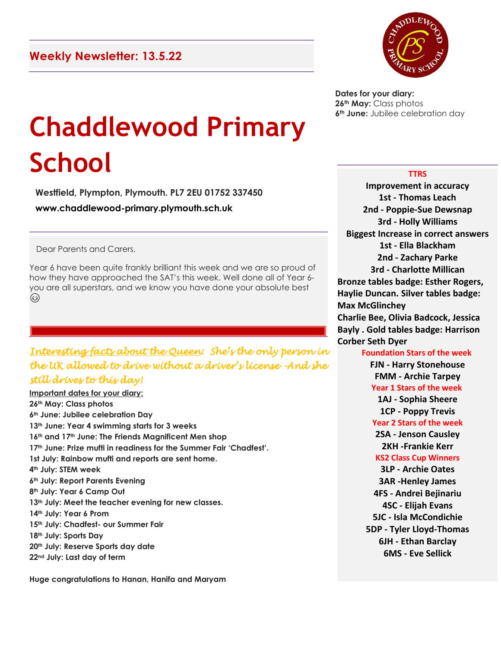

**Dates for your diary: 26th May:** Class photos **6th June:** Jubilee celebration day

# **Chaddlewood Primary School**

**Westfield, Plympton, Plymouth. PL7 2EU 01752 337450 www.chaddlewood-primary.plymouth.sch.uk**

Dear Parents and Carers,

Year 6 have been quite frankly brilliant this week and we are so proud of how they have approached the SAT's this week. Well done all of Year 6 you are all superstars, and we know you have done your absolute best ٨

## *Interesting facts about the Queen: She's the only person in the UK allowed to drive without a driver's license -And she still drives to this day!*

**Important dates for your diary: th May: Class photos th June: Jubilee celebration Day th June: Year 4 swimming starts for 3 weeks th and 17th June: The Friends Magnificent Men shop th June: Prize mufti in readiness for the Summer Fair 'Chadfest'. 1st July: Rainbow mufti and reports are sent home. th July: STEM week th July: Report Parents Evening th July: Year 6 Camp Out th July: Meet the teacher evening for new classes. th July: Year 6 Prom th July: Chadfest- our Summer Fair th July: Sports Day th July: Reserve Sports day date nd July: Last day of term**

**Huge congratulations to Hanan, Hanifa and Maryam**

#### **TTRS**

**Improvement in accuracy 1st - Thomas Leach 2nd - Poppie-Sue Dewsnap 3rd - Holly Williams Biggest Increase in correct answers 1st - Ella Blackham 2nd - Zachary Parke 3rd - Charlotte Millican Bronze tables badge: Esther Rogers, Haylie Duncan. Silver tables badge: Max McGlinchey Charlie Bee, Olivia Badcock, Jessica Bayly . Gold tables badge: Harrison Corber Seth Dyer Foundation Stars of the week FJN - Harry Stonehouse FMM - Archie Tarpey Year 1 Stars of the week 1AJ - Sophia Sheere 1CP - Poppy Trevis Year 2 Stars of the week 2SA - Jenson Causley 2KH -Frankie Kerr KS2 Class Cup Winners 3LP - Archie Oates 3AR -Henley James 4FS - Andrei Bejinariu 4SC - Elijah Evans 5JC - Isla McCondichie 5DP - Tyler Lloyd-Thomas 6JH - Ethan Barclay 6MS - Eve Sellick**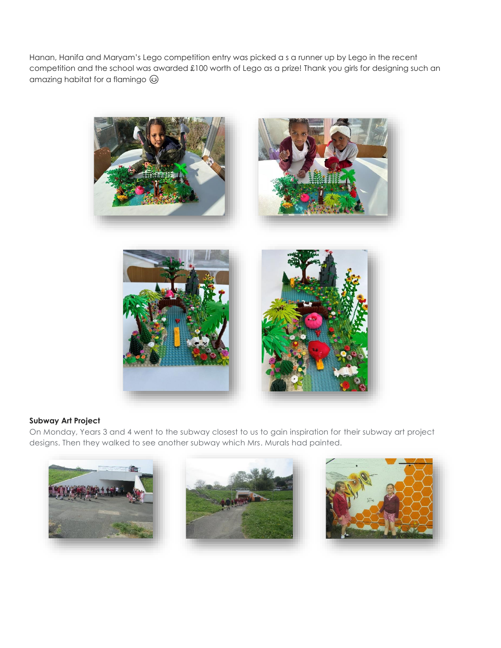Hanan, Hanifa and Maryam's Lego competition entry was picked a s a runner up by Lego in the recent competition and the school was awarded £100 worth of Lego as a prize! Thank you girls for designing such an amazing habitat for a flamingo  $\circledcirc$ 



#### **Subway Art Project**

On Monday, Years 3 and 4 went to the subway closest to us to gain inspiration for their subway art project designs. Then they walked to see another subway which Mrs. Murals had painted.





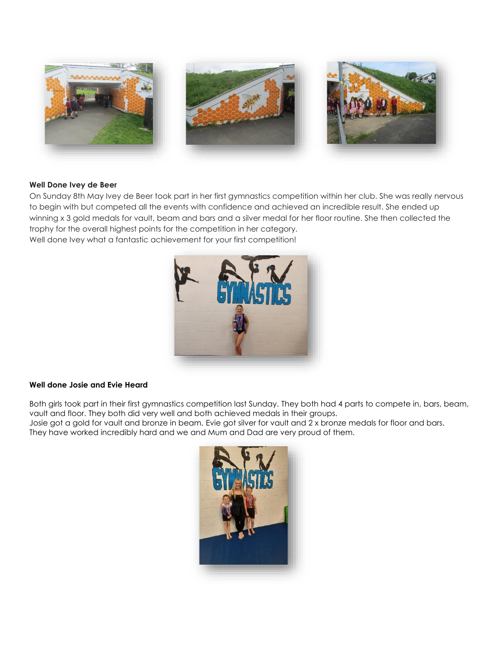

#### **Well Done Ivey de Beer**

On Sunday 8th May Ivey de Beer took part in her first gymnastics competition within her club. She was really nervous to begin with but competed all the events with confidence and achieved an incredible result. She ended up winning x 3 gold medals for vault, beam and bars and a silver medal for her floor routine. She then collected the trophy for the overall highest points for the competition in her category. Well done Ivey what a fantastic achievement for your first competition!



#### **Well done Josie and Evie Heard**

Both girls took part in their first gymnastics competition last Sunday. They both had 4 parts to compete in, bars, beam, vault and floor. They both did very well and both achieved medals in their groups.

Josie got a gold for vault and bronze in beam. Evie got silver for vault and 2 x bronze medals for floor and bars. They have worked incredibly hard and we and Mum and Dad are very proud of them.

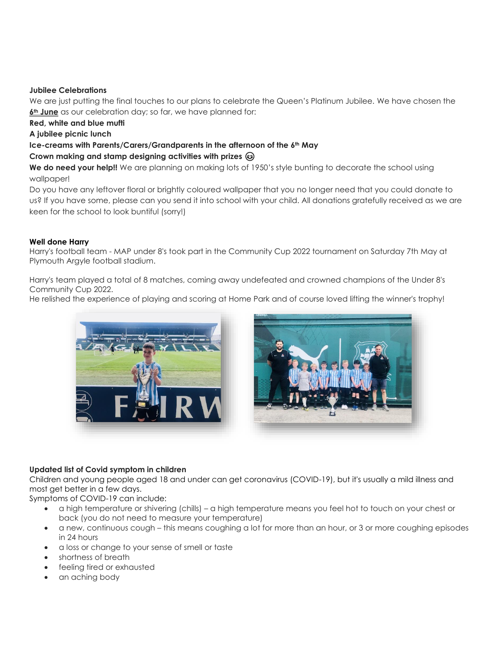#### **Jubilee Celebrations**

We are just putting the final touches to our plans to celebrate the Queen's Platinum Jubilee. We have chosen the **6th June** as our celebration day; so far, we have planned for:

**Red, white and blue mufti**

**A jubilee picnic lunch**

### **Ice-creams with Parents/Carers/Grandparents in the afternoon of the 6th May**

#### **Crown making and stamp designing activities with prizes**

We do need your help!! We are planning on making lots of 1950's style bunting to decorate the school using wallpaper!

Do you have any leftover floral or brightly coloured wallpaper that you no longer need that you could donate to us? If you have some, please can you send it into school with your child. All donations gratefully received as we are keen for the school to look buntiful (sorry!)

#### **Well done Harry**

Harry's football team - MAP under 8's took part in the Community Cup 2022 tournament on Saturday 7th May at Plymouth Argyle football stadium.

Harry's team played a total of 8 matches, coming away undefeated and crowned champions of the Under 8's Community Cup 2022.

He relished the experience of playing and scoring at Home Park and of course loved lifting the winner's trophy!



#### **Updated list of Covid symptom in children**

Children and young people aged 18 and under can get coronavirus (COVID-19), but it's usually a mild illness and most get better in a few days.

Symptoms of COVID-19 can include:

- a high temperature or shivering (chills) a high temperature means you feel hot to touch on your chest or back (you do not need to measure your temperature)
- a new, continuous cough this means coughing a lot for more than an hour, or 3 or more coughing episodes in 24 hours
- a loss or change to your sense of smell or taste
- shortness of breath
- feeling tired or exhausted
- an aching body